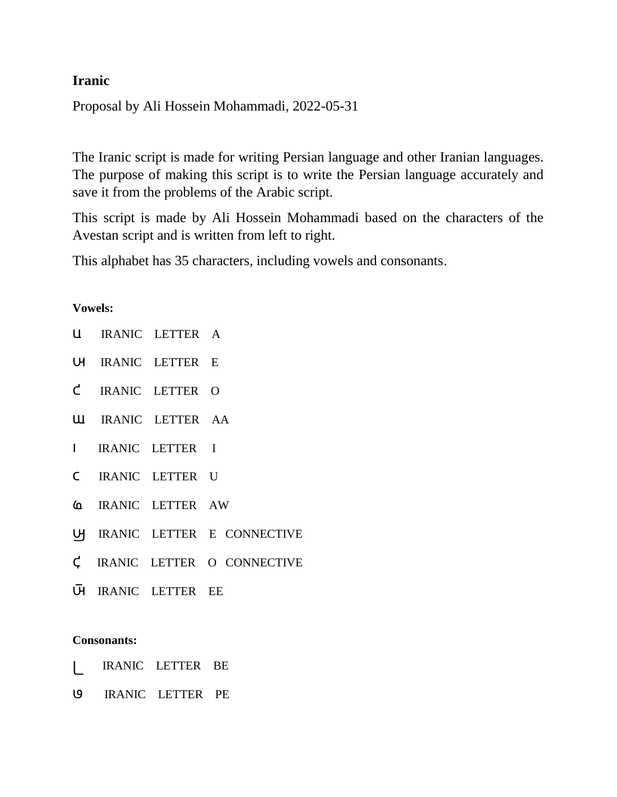## **Iranic**

Proposal by Ali Hossein Mohammadi, 2022-05-31

The Iranic script is made for writing Persian language and other Iranian languages. The purpose of making this script is to write the Persian language accurately and save it from the problems of the Arabic script.

This script is made by Ali Hossein Mohammadi based on the characters of the Avestan script and is written from left to right.

This alphabet has 35 characters, including vowels and consonants.

## **Vowels:**

|  | U IRANIC LETTER A                |                               |
|--|----------------------------------|-------------------------------|
|  | U IRANIC LETTER E                |                               |
|  | C IRANIC LETTER O                |                               |
|  | <b>ULI IRANIC LETTER AA</b>      |                               |
|  | I IRANIC LETTER I                |                               |
|  | C IRANIC LETTER U                |                               |
|  | <b><i>A</i></b> IRANIC LETTER AW |                               |
|  |                                  | UJ IRANIC LETTER E CONNECTIVE |
|  |                                  | C IRANIC LETTER O CONNECTIVE  |
|  | U IRANIC LETTER EE               |                               |
|  |                                  |                               |

## **Consonants:**

- b IRANIC LETTER BE
- p IRANIC LETTER PE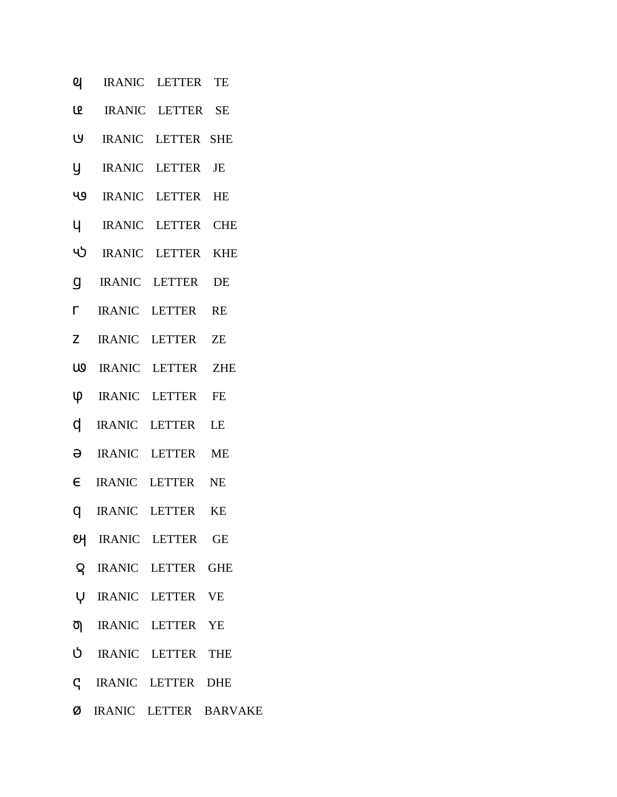- IRANIC LETTER TE ଥ
- ம IRANIC LETTER SE
- IRANIC LETTER SHE <u>២</u>
- IRANIC LETTER JE y.
- 49 IRANIC LETTER HE
- $\mathsf{U}$ IRANIC LETTER CHE
- ႡჂ IRANIC LETTER KHE
- $\mathsf{q}$ IRANIC LETTER **DE**
- $\Gamma$ IRANIC LETTER **RE**
- IRANIC LETTER Z **ZE**
- U IRANIC LETTER **ZHE**
- **ψ** IRANIC LETTER **FE**
- IRANIC LETTER d l LE
- $\Theta$ IRANIC LETTER **ME**
- $\epsilon$  IRANIC LETTER NE
- **q** IRANIC LETTER KE
- **ey IRANIC LETTER GE**
- **Q** IRANIC LETTER GHE
- **U IRANIC LETTER VE**
- ס IRANIC LETTER YE
- טֿ IRANIC LETTER THE
- IRANIC LETTER DHE  $\mathsf{C}$
- Ø IRANIC LETTER BARVAKE